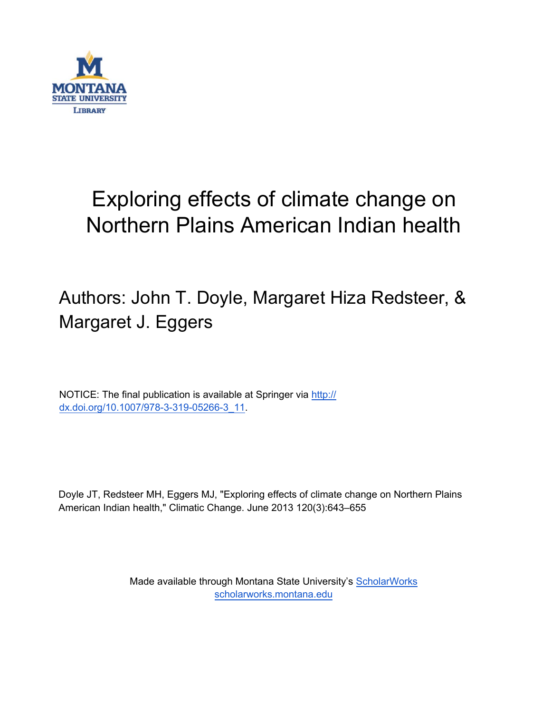

# Exploring effects of climate change on Northern Plains American Indian health

Authors: John T. Doyle, Margaret Hiza Redsteer, & Margaret J. Eggers

NOTICE: The final publication is available at Springer vi[a http://](http://dx.doi.org/10.1007/978-3-319-05266-3_11) [dx.doi.org/10.1007/978-3-319-05266-3\\_11.](http://dx.doi.org/10.1007/978-3-319-05266-3_11)

Doyle JT, Redsteer MH, Eggers MJ, "Exploring effects of climate change on Northern Plains American Indian health," Climatic Change. June 2013 120(3):643–655

> Made available through Montana State University's [ScholarWorks](http://scholarworks.montana.edu/) [scholarworks.montana.edu](http://scholarworks.montana.edu/)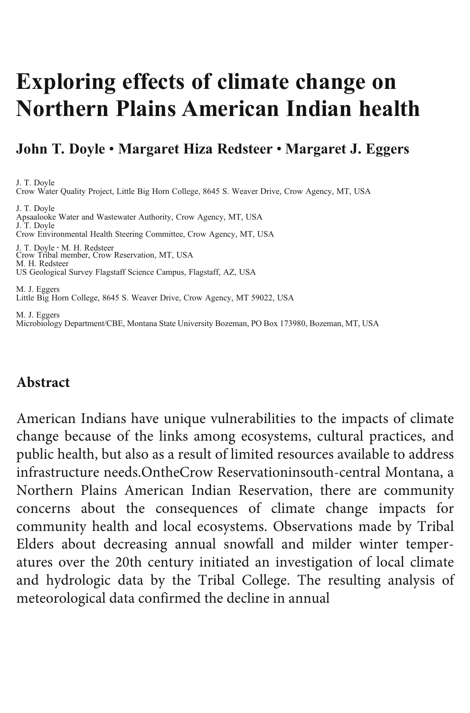## Exploring effects of climate change on Northern Plains American Indian health

## John T. Doyle • Margaret Hiza Redsteer • Margaret J. Eggers

J. T. Doyle Crow Water Quality Project, Little Big Horn College, 8645 S. Weaver Drive, Crow Agency, MT, USA J. T. Doyle Apsaalooke Water and Wastewater Authority, Crow Agency, MT, USA J. T. Doyle Crow Environmental Health Steering Committee, Crow Agency, MT, USA J. T. Doyle : M. H. Redsteer Crow Tribal member, Crow Reservation, MT, USA M. H. Redsteer US Geological Survey Flagstaff Science Campus, Flagstaff, AZ, USA M. J. Eggers Little Big Horn College, 8645 S. Weaver Drive, Crow Agency, MT 59022, USA

M. J. Eggers Microbiology Department/CBE, Montana State University Bozeman, PO Box 173980, Bozeman, MT, USA

### **Abstract**

American Indians have unique vulnerabilities to the impacts of climate change because of the links among ecosystems, cultural practices, and public health, but also as a result of limited resources available to address infrastructure needs.OntheCrow Reservationinsouth-central Montana, a Northern Plains American Indian Reservation, there are community concerns about the consequences of climate change impacts for community health and local ecosystems. Observations made by Tribal Elders about decreasing annual snowfall and milder winter temperatures over the 20th century initiated an investigation of local climate and hydrologic data by the Tribal College. The resulting analysis of meteorological data confirmed the decline in annual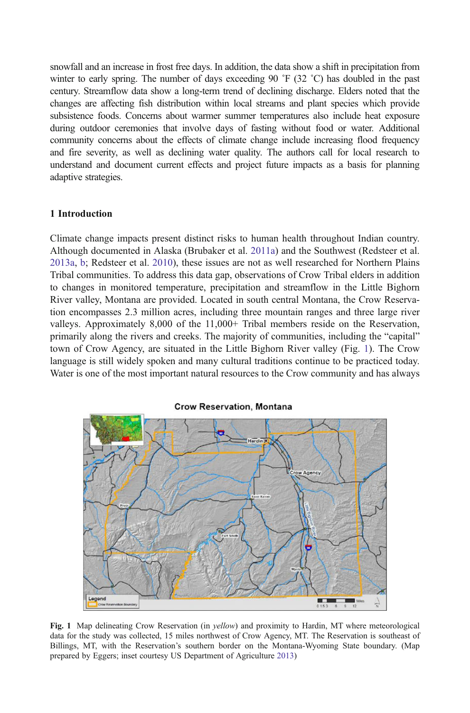<span id="page-2-0"></span>snowfall and an increase in frost free days. In addition, the data show a shift in precipitation from winter to early spring. The number of days exceeding 90  $\degree$ F (32  $\degree$ C) has doubled in the past century. Streamflow data show a long-term trend of declining discharge. Elders noted that the changes are affecting fish distribution within local streams and plant species which provide subsistence foods. Concerns about warmer summer temperatures also include heat exposure during outdoor ceremonies that involve days of fasting without food or water. Additional community concerns about the effects of climate change include increasing flood frequency and fire severity, as well as declining water quality. The authors call for local research to understand and document current effects and project future impacts as a basis for planning adaptive strategies.

#### 1 Introduction

Climate change impacts present distinct risks to human health throughout Indian country. Although documented in Alaska (Brubaker et al. [2011a](#page-12-0)) and the Southwest (Redsteer et al. [2013a,](#page-13-0) [b;](#page-13-0) Redsteer et al. [2010\)](#page-13-0), these issues are not as well researched for Northern Plains Tribal communities. To address this data gap, observations of Crow Tribal elders in addition to changes in monitored temperature, precipitation and streamflow in the Little Bighorn River valley, Montana are provided. Located in south central Montana, the Crow Reservation encompasses 2.3 million acres, including three mountain ranges and three large river valleys. Approximately 8,000 of the 11,000+ Tribal members reside on the Reservation, primarily along the rivers and creeks. The majority of communities, including the "capital" town of Crow Agency, are situated in the Little Bighorn River valley (Fig. 1). The Crow language is still widely spoken and many cultural traditions continue to be practiced today. Water is one of the most important natural resources to the Crow community and has always



Fig. 1 Map delineating Crow Reservation (in yellow) and proximity to Hardin, MT where meteorological data for the study was collected, 15 miles northwest of Crow Agency, MT. The Reservation is southeast of Billings, MT, with the Reservation's southern border on the Montana-Wyoming State boundary. (Map prepared by Eggers; inset courtesy US Department of Agriculture [2013](#page-13-0))

**Crow Reservation, Montana**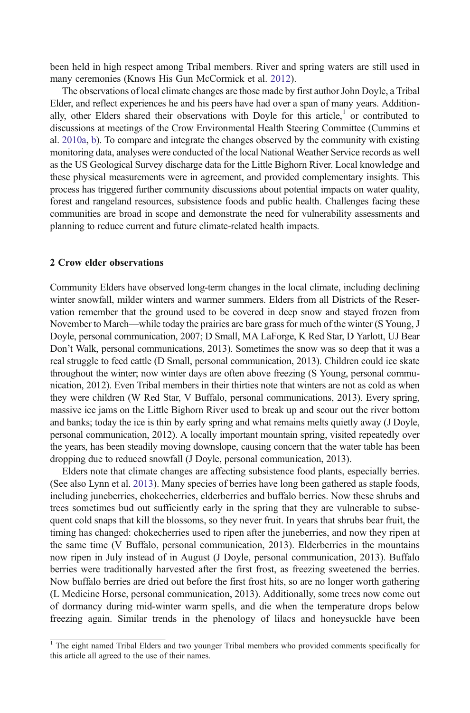been held in high respect among Tribal members. River and spring waters are still used in many ceremonies (Knows His Gun McCormick et al. [2012\)](#page-13-0).

The observations of local climate changes are those made by first author John Doyle, a Tribal Elder, and reflect experiences he and his peers have had over a span of many years. Additionally, other Elders shared their observations with Doyle for this article,<sup>1</sup> or contributed to discussions at meetings of the Crow Environmental Health Steering Committee (Cummins et al. [2010a,](#page-12-0) [b\)](#page-12-0). To compare and integrate the changes observed by the community with existing monitoring data, analyses were conducted of the local National Weather Service records as well as the US Geological Survey discharge data for the Little Bighorn River. Local knowledge and these physical measurements were in agreement, and provided complementary insights. This process has triggered further community discussions about potential impacts on water quality, forest and rangeland resources, subsistence foods and public health. Challenges facing these communities are broad in scope and demonstrate the need for vulnerability assessments and planning to reduce current and future climate-related health impacts.

#### 2 Crow elder observations

Community Elders have observed long-term changes in the local climate, including declining winter snowfall, milder winters and warmer summers. Elders from all Districts of the Reservation remember that the ground used to be covered in deep snow and stayed frozen from November to March—while today the prairies are bare grass for much of the winter (S Young, J Doyle, personal communication, 2007; D Small, MA LaForge, K Red Star, D Yarlott, UJ Bear Don't Walk, personal communications, 2013). Sometimes the snow was so deep that it was a real struggle to feed cattle (D Small, personal communication, 2013). Children could ice skate throughout the winter; now winter days are often above freezing (S Young, personal communication, 2012). Even Tribal members in their thirties note that winters are not as cold as when they were children (W Red Star, V Buffalo, personal communications, 2013). Every spring, massive ice jams on the Little Bighorn River used to break up and scour out the river bottom and banks; today the ice is thin by early spring and what remains melts quietly away (J Doyle, personal communication, 2012). A locally important mountain spring, visited repeatedly over the years, has been steadily moving downslope, causing concern that the water table has been dropping due to reduced snowfall (J Doyle, personal communication, 2013).

Elders note that climate changes are affecting subsistence food plants, especially berries. (See also Lynn et al. [2013\)](#page-12-0). Many species of berries have long been gathered as staple foods, including juneberries, chokecherries, elderberries and buffalo berries. Now these shrubs and trees sometimes bud out sufficiently early in the spring that they are vulnerable to subsequent cold snaps that kill the blossoms, so they never fruit. In years that shrubs bear fruit, the timing has changed: chokecherries used to ripen after the juneberries, and now they ripen at the same time (V Buffalo, personal communication, 2013). Elderberries in the mountains now ripen in July instead of in August (J Doyle, personal communication, 2013). Buffalo berries were traditionally harvested after the first frost, as freezing sweetened the berries. Now buffalo berries are dried out before the first frost hits, so are no longer worth gathering (L Medicine Horse, personal communication, 2013). Additionally, some trees now come out of dormancy during mid-winter warm spells, and die when the temperature drops below freezing again. Similar trends in the phenology of lilacs and honeysuckle have been

<sup>&</sup>lt;sup>1</sup> The eight named Tribal Elders and two younger Tribal members who provided comments specifically for this article all agreed to the use of their names.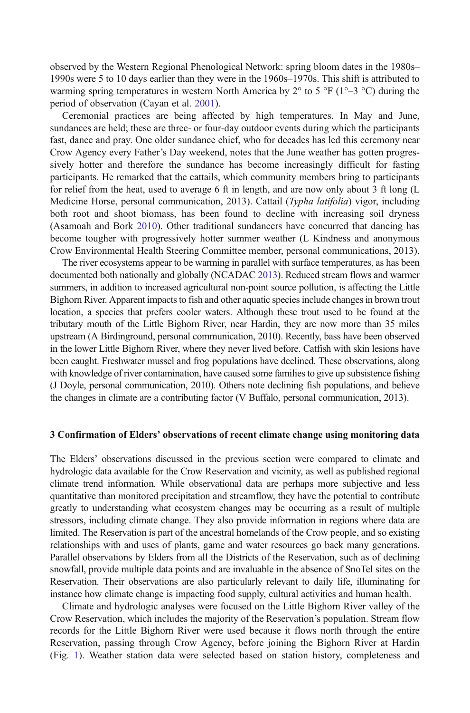observed by the Western Regional Phenological Network: spring bloom dates in the 1980s– 1990s were 5 to 10 days earlier than they were in the 1960s–1970s. This shift is attributed to warming spring temperatures in western North America by  $2^{\circ}$  to 5 °F ( $1^{\circ}-3$  °C) during the period of observation (Cayan et al. [2001](#page-12-0)).

Ceremonial practices are being affected by high temperatures. In May and June, sundances are held; these are three- or four-day outdoor events during which the participants fast, dance and pray. One older sundance chief, who for decades has led this ceremony near Crow Agency every Father's Day weekend, notes that the June weather has gotten progressively hotter and therefore the sundance has become increasingly difficult for fasting participants. He remarked that the cattails, which community members bring to participants for relief from the heat, used to average 6 ft in length, and are now only about 3 ft long (L Medicine Horse, personal communication, 2013). Cattail (Typha latifolia) vigor, including both root and shoot biomass, has been found to decline with increasing soil dryness (Asamoah and Bork [2010\)](#page-12-0). Other traditional sundancers have concurred that dancing has become tougher with progressively hotter summer weather (L Kindness and anonymous Crow Environmental Health Steering Committee member, personal communications, 2013).

The river ecosystems appear to be warming in parallel with surface temperatures, as has been documented both nationally and globally (NCADAC [2013\)](#page-13-0). Reduced stream flows and warmer summers, in addition to increased agricultural non-point source pollution, is affecting the Little Bighorn River. Apparent impacts to fish and other aquatic species include changes in brown trout location, a species that prefers cooler waters. Although these trout used to be found at the tributary mouth of the Little Bighorn River, near Hardin, they are now more than 35 miles upstream (A Birdinground, personal communication, 2010). Recently, bass have been observed in the lower Little Bighorn River, where they never lived before. Catfish with skin lesions have been caught. Freshwater mussel and frog populations have declined. These observations, along with knowledge of river contamination, have caused some families to give up subsistence fishing (J Doyle, personal communication, 2010). Others note declining fish populations, and believe the changes in climate are a contributing factor (V Buffalo, personal communication, 2013).

#### 3 Confirmation of Elders' observations of recent climate change using monitoring data

The Elders' observations discussed in the previous section were compared to climate and hydrologic data available for the Crow Reservation and vicinity, as well as published regional climate trend information. While observational data are perhaps more subjective and less quantitative than monitored precipitation and streamflow, they have the potential to contribute greatly to understanding what ecosystem changes may be occurring as a result of multiple stressors, including climate change. They also provide information in regions where data are limited. The Reservation is part of the ancestral homelands of the Crow people, and so existing relationships with and uses of plants, game and water resources go back many generations. Parallel observations by Elders from all the Districts of the Reservation, such as of declining snowfall, provide multiple data points and are invaluable in the absence of SnoTel sites on the Reservation. Their observations are also particularly relevant to daily life, illuminating for instance how climate change is impacting food supply, cultural activities and human health.

Climate and hydrologic analyses were focused on the Little Bighorn River valley of the Crow Reservation, which includes the majority of the Reservation's population. Stream flow records for the Little Bighorn River were used because it flows north through the entire Reservation, passing through Crow Agency, before joining the Bighorn River at Hardin (Fig. [1\)](#page-2-0). Weather station data were selected based on station history, completeness and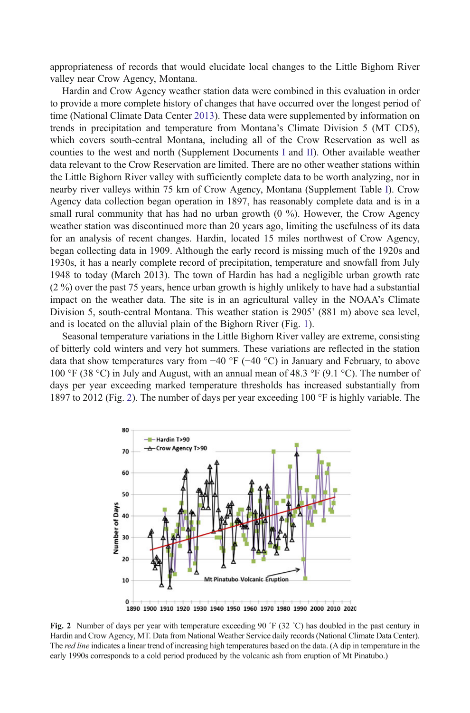appropriateness of records that would elucidate local changes to the Little Bighorn River valley near Crow Agency, Montana.

Hardin and Crow Agency weather station data were combined in this evaluation in order to provide a more complete history of changes that have occurred over the longest period of time (National Climate Data Center [2013\)](#page-13-0). These data were supplemented by information on trends in precipitation and temperature from Montana's Climate Division 5 (MT CD5), which covers south-central Montana, including all of the Crow Reservation as well as counties to the west and north (Supplement Documents I and II). Other available weather data relevant to the Crow Reservation are limited. There are no other weather stations within the Little Bighorn River valley with sufficiently complete data to be worth analyzing, nor in nearby river valleys within 75 km of Crow Agency, Montana (Supplement Table I). Crow Agency data collection began operation in 1897, has reasonably complete data and is in a small rural community that has had no urban growth (0 %). However, the Crow Agency weather station was discontinued more than 20 years ago, limiting the usefulness of its data for an analysis of recent changes. Hardin, located 15 miles northwest of Crow Agency, began collecting data in 1909. Although the early record is missing much of the 1920s and 1930s, it has a nearly complete record of precipitation, temperature and snowfall from July 1948 to today (March 2013). The town of Hardin has had a negligible urban growth rate (2 %) over the past 75 years, hence urban growth is highly unlikely to have had a substantial impact on the weather data. The site is in an agricultural valley in the NOAA's Climate Division 5, south-central Montana. This weather station is 2905' (881 m) above sea level, and is located on the alluvial plain of the Bighorn River (Fig. [1\)](#page-2-0).

Seasonal temperature variations in the Little Bighorn River valley are extreme, consisting of bitterly cold winters and very hot summers. These variations are reflected in the station data that show temperatures vary from  $-40$  °F ( $-40$  °C) in January and February, to above 100 °F (38 °C) in July and August, with an annual mean of 48.3 °F (9.1 °C). The number of days per year exceeding marked temperature thresholds has increased substantially from 1897 to 2012 (Fig. 2). The number of days per year exceeding 100 °F is highly variable. The



Fig. 2 Number of days per year with temperature exceeding 90 °F (32 °C) has doubled in the past century in Hardin and Crow Agency, MT. Data from National Weather Service daily records (National Climate Data Center). The *red line* indicates a linear trend of increasing high temperatures based on the data. (A dip in temperature in the early 1990s corresponds to a cold period produced by the volcanic ash from eruption of Mt Pinatubo.)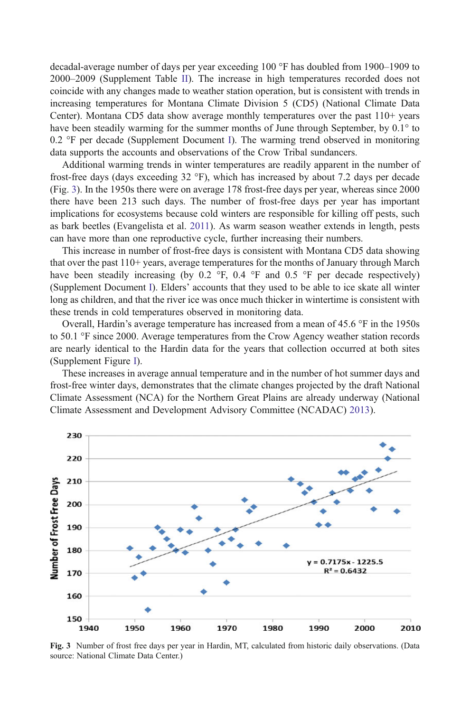decadal-average number of days per year exceeding 100 °F has doubled from 1900–1909 to 2000–2009 (Supplement Table II). The increase in high temperatures recorded does not coincide with any changes made to weather station operation, but is consistent with trends in increasing temperatures for Montana Climate Division 5 (CD5) (National Climate Data Center). Montana CD5 data show average monthly temperatures over the past 110+ years have been steadily warming for the summer months of June through September, by 0.1° to 0.2 °F per decade (Supplement Document I). The warming trend observed in monitoring data supports the accounts and observations of the Crow Tribal sundancers.

Additional warming trends in winter temperatures are readily apparent in the number of frost-free days (days exceeding 32 °F), which has increased by about 7.2 days per decade (Fig. 3). In the 1950s there were on average 178 frost-free days per year, whereas since 2000 there have been 213 such days. The number of frost-free days per year has important implications for ecosystems because cold winters are responsible for killing off pests, such as bark beetles (Evangelista et al. [2011](#page-12-0)). As warm season weather extends in length, pests can have more than one reproductive cycle, further increasing their numbers.

This increase in number of frost-free days is consistent with Montana CD5 data showing that over the past 110+ years, average temperatures for the months of January through March have been steadily increasing (by 0.2  $\degree$ F, 0.4  $\degree$ F and 0.5  $\degree$ F per decade respectively) (Supplement Document I). Elders' accounts that they used to be able to ice skate all winter long as children, and that the river ice was once much thicker in wintertime is consistent with these trends in cold temperatures observed in monitoring data.

Overall, Hardin's average temperature has increased from a mean of 45.6 °F in the 1950s to 50.1 °F since 2000. Average temperatures from the Crow Agency weather station records are nearly identical to the Hardin data for the years that collection occurred at both sites (Supplement Figure I).

These increases in average annual temperature and in the number of hot summer days and frost-free winter days, demonstrates that the climate changes projected by the draft National Climate Assessment (NCA) for the Northern Great Plains are already underway (National Climate Assessment and Development Advisory Committee (NCADAC) [2013](#page-13-0)).



Fig. 3 Number of frost free days per year in Hardin, MT, calculated from historic daily observations. (Data source: National Climate Data Center.)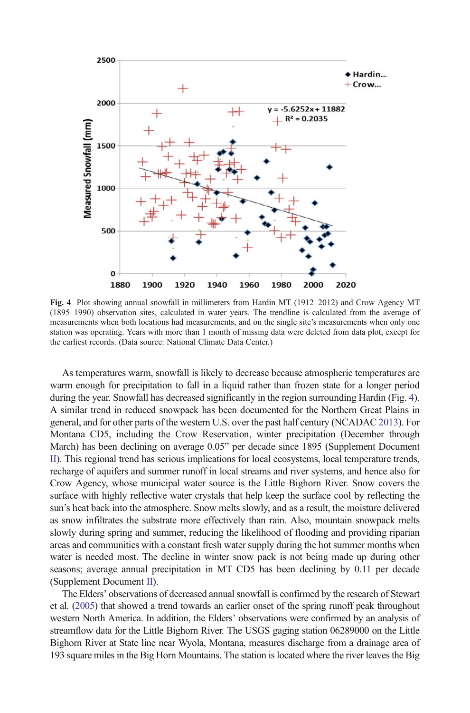

Fig. 4 Plot showing annual snowfall in millimeters from Hardin MT (1912–2012) and Crow Agency MT (1895–1990) observation sites, calculated in water years. The trendline is calculated from the average of measurements when both locations had measurements, and on the single site's measurements when only one station was operating. Years with more than 1 month of missing data were deleted from data plot, except for the earliest records. (Data source: National Climate Data Center.)

As temperatures warm, snowfall is likely to decrease because atmospheric temperatures are warm enough for precipitation to fall in a liquid rather than frozen state for a longer period during the year. Snowfall has decreased significantly in the region surrounding Hardin (Fig. 4). A similar trend in reduced snowpack has been documented for the Northern Great Plains in general, and for other parts of the western U.S. over the past half century (NCADAC [2013\)](#page-13-0). For Montana CD5, including the Crow Reservation, winter precipitation (December through March) has been declining on average 0.05" per decade since 1895 (Supplement Document II). This regional trend has serious implications for local ecosystems, local temperature trends, recharge of aquifers and summer runoff in local streams and river systems, and hence also for Crow Agency, whose municipal water source is the Little Bighorn River. Snow covers the surface with highly reflective water crystals that help keep the surface cool by reflecting the sun's heat back into the atmosphere. Snow melts slowly, and as a result, the moisture delivered as snow infiltrates the substrate more effectively than rain. Also, mountain snowpack melts slowly during spring and summer, reducing the likelihood of flooding and providing riparian areas and communities with a constant fresh water supply during the hot summer months when water is needed most. The decline in winter snow pack is not being made up during other seasons; average annual precipitation in MT CD5 has been declining by 0.11 per decade (Supplement Document II).

The Elders' observations of decreased annual snowfall is confirmed by the research of Stewart et al. [\(2005](#page-13-0)) that showed a trend towards an earlier onset of the spring runoff peak throughout western North America. In addition, the Elders' observations were confirmed by an analysis of streamflow data for the Little Bighorn River. The USGS gaging station 06289000 on the Little Bighorn River at State line near Wyola, Montana, measures discharge from a drainage area of 193 square miles in the Big Horn Mountains. The station is located where the river leaves the Big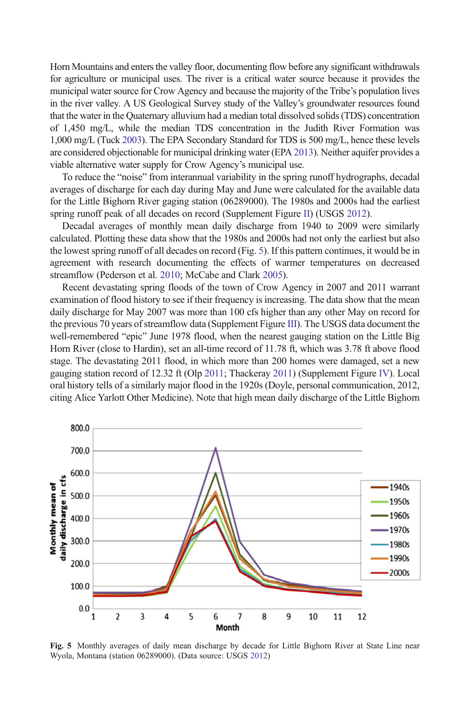<span id="page-8-0"></span>Horn Mountains and enters the valley floor, documenting flow before any significant withdrawals for agriculture or municipal uses. The river is a critical water source because it provides the municipal water source for Crow Agency and because the majority of the Tribe's population lives in the river valley. A US Geological Survey study of the Valley's groundwater resources found that the water in the Quaternary alluvium had a median total dissolved solids (TDS) concentration of 1,450 mg/L, while the median TDS concentration in the Judith River Formation was 1,000 mg/L (Tuck [2003\)](#page-13-0). The EPA Secondary Standard for TDS is 500 mg/L, hence these levels are considered objectionable for municipal drinking water (EPA [2013](#page-13-0)). Neither aquifer provides a viable alternative water supply for Crow Agency's municipal use.

To reduce the "noise" from interannual variability in the spring runoff hydrographs, decadal averages of discharge for each day during May and June were calculated for the available data for the Little Bighorn River gaging station (06289000). The 1980s and 2000s had the earliest spring runoff peak of all decades on record (Supplement Figure II) (USGS [2012\)](#page-13-0).

Decadal averages of monthly mean daily discharge from 1940 to 2009 were similarly calculated. Plotting these data show that the 1980s and 2000s had not only the earliest but also the lowest spring runoff of all decades on record (Fig. 5). If this pattern continues, it would be in agreement with research documenting the effects of warmer temperatures on decreased streamflow (Pederson et al. [2010](#page-13-0); McCabe and Clark [2005](#page-13-0)).

Recent devastating spring floods of the town of Crow Agency in 2007 and 2011 warrant examination of flood history to see if their frequency is increasing. The data show that the mean daily discharge for May 2007 was more than 100 cfs higher than any other May on record for the previous 70 years of streamflow data (Supplement Figure III). The USGS data document the well-remembered "epic" June 1978 flood, when the nearest gauging station on the Little Big Horn River (close to Hardin), set an all-time record of 11.78 ft, which was 3.78 ft above flood stage. The devastating 2011 flood, in which more than 200 homes were damaged, set a new gauging station record of 12.32 ft (Olp [2011;](#page-13-0) Thackeray [2011\)](#page-13-0) (Supplement Figure IV). Local oral history tells of a similarly major flood in the 1920s (Doyle, personal communication, 2012, citing Alice Yarlott Other Medicine). Note that high mean daily discharge of the Little Bighorn



Fig. 5 Monthly averages of daily mean discharge by decade for Little Bighorn River at State Line near Wyola, Montana (station 06289000). (Data source: USGS [2012](#page-13-0))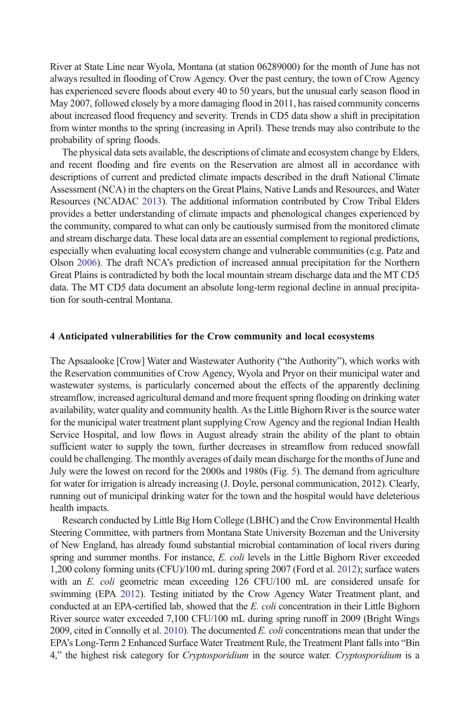River at State Line near Wyola, Montana (at station 06289000) for the month of June has not always resulted in flooding of Crow Agency. Over the past century, the town of Crow Agency has experienced severe floods about every 40 to 50 years, but the unusual early season flood in May 2007, followed closely by a more damaging flood in 2011, has raised community concerns about increased flood frequency and severity. Trends in CD5 data show a shift in precipitation from winter months to the spring (increasing in April). These trends may also contribute to the probability of spring floods.

The physical data sets available, the descriptions of climate and ecosystem change by Elders, and recent flooding and fire events on the Reservation are almost all in accordance with descriptions of current and predicted climate impacts described in the draft National Climate Assessment (NCA) in the chapters on the Great Plains, Native Lands and Resources, and Water Resources (NCADAC [2013](#page-13-0)). The additional information contributed by Crow Tribal Elders provides a better understanding of climate impacts and phenological changes experienced by the community, compared to what can only be cautiously surmised from the monitored climate and stream discharge data. These local data are an essential complement to regional predictions, especially when evaluating local ecosystem change and vulnerable communities (e.g. Patz and Olson [2006\)](#page-13-0). The draft NCA's prediction of increased annual precipitation for the Northern Great Plains is contradicted by both the local mountain stream discharge data and the MT CD5 data. The MT CD5 data document an absolute long-term regional decline in annual precipitation for south-central Montana.

#### 4 Anticipated vulnerabilities for the Crow community and local ecosystems

The Apsaalooke [Crow] Water and Wastewater Authority ("the Authority"), which works with the Reservation communities of Crow Agency, Wyola and Pryor on their municipal water and wastewater systems, is particularly concerned about the effects of the apparently declining streamflow, increased agricultural demand and more frequent spring flooding on drinking water availability, water quality and community health. As the Little Bighorn River is the source water for the municipal water treatment plant supplying Crow Agency and the regional Indian Health Service Hospital, and low flows in August already strain the ability of the plant to obtain sufficient water to supply the town, further decreases in streamflow from reduced snowfall could be challenging. The monthly averages of daily mean discharge for the months of June and July were the lowest on record for the 2000s and 1980s (Fig. [5](#page-8-0)). The demand from agriculture for water for irrigation is already increasing (J. Doyle, personal communication, 2012). Clearly, running out of municipal drinking water for the town and the hospital would have deleterious health impacts.

Research conducted by Little Big Horn College (LBHC) and the Crow Environmental Health Steering Committee, with partners from Montana State University Bozeman and the University of New England, has already found substantial microbial contamination of local rivers during spring and summer months. For instance, E. coli levels in the Little Bighorn River exceeded 1,200 colony forming units (CFU)/100 mL during spring 2007 (Ford et al. [2012\)](#page-12-0); surface waters with an E. coli geometric mean exceeding 126 CFU/100 mL are considered unsafe for swimming (EPA [2012](#page-13-0)). Testing initiated by the Crow Agency Water Treatment plant, and conducted at an EPA-certified lab, showed that the E. coli concentration in their Little Bighorn River source water exceeded 7,100 CFU/100 mL during spring runoff in 2009 (Bright Wings 2009, cited in Connolly et al. [2010](#page-12-0)). The documented  $E.$  *coli* concentrations mean that under the EPA's Long-Term 2 Enhanced Surface Water Treatment Rule, the Treatment Plant falls into "Bin 4," the highest risk category for Cryptosporidium in the source water. Cryptosporidium is a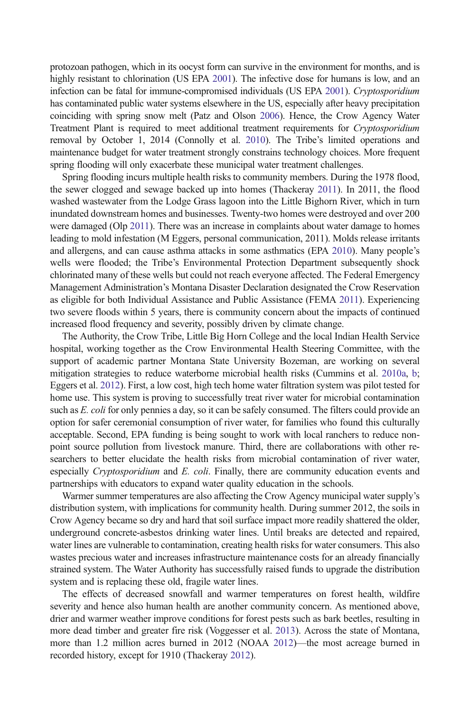protozoan pathogen, which in its oocyst form can survive in the environment for months, and is highly resistant to chlorination (US EPA [2001](#page-13-0)). The infective dose for humans is low, and an infection can be fatal for immune-compromised individuals (US EPA [2001\)](#page-13-0). Cryptosporidium has contaminated public water systems elsewhere in the US, especially after heavy precipitation coinciding with spring snow melt (Patz and Olson [2006](#page-13-0)). Hence, the Crow Agency Water Treatment Plant is required to meet additional treatment requirements for Cryptosporidium removal by October 1, 2014 (Connolly et al. [2010](#page-12-0)). The Tribe's limited operations and maintenance budget for water treatment strongly constrains technology choices. More frequent spring flooding will only exacerbate these municipal water treatment challenges.

Spring flooding incurs multiple health risks to community members. During the 1978 flood, the sewer clogged and sewage backed up into homes (Thackeray [2011](#page-13-0)). In 2011, the flood washed wastewater from the Lodge Grass lagoon into the Little Bighorn River, which in turn inundated downstream homes and businesses. Twenty-two homes were destroyed and over 200 were damaged (Olp [2011\)](#page-13-0). There was an increase in complaints about water damage to homes leading to mold infestation (M Eggers, personal communication, 2011). Molds release irritants and allergens, and can cause asthma attacks in some asthmatics (EPA [2010](#page-13-0)). Many people's wells were flooded; the Tribe's Environmental Protection Department subsequently shock chlorinated many of these wells but could not reach everyone affected. The Federal Emergency Management Administration's Montana Disaster Declaration designated the Crow Reservation as eligible for both Individual Assistance and Public Assistance (FEMA [2011\)](#page-12-0). Experiencing two severe floods within 5 years, there is community concern about the impacts of continued increased flood frequency and severity, possibly driven by climate change.

The Authority, the Crow Tribe, Little Big Horn College and the local Indian Health Service hospital, working together as the Crow Environmental Health Steering Committee, with the support of academic partner Montana State University Bozeman, are working on several mitigation strategies to reduce waterborne microbial health risks (Cummins et al. [2010a,](#page-12-0) [b](#page-12-0); Eggers et al. [2012](#page-12-0)). First, a low cost, high tech home water filtration system was pilot tested for home use. This system is proving to successfully treat river water for microbial contamination such as E. coli for only pennies a day, so it can be safely consumed. The filters could provide an option for safer ceremonial consumption of river water, for families who found this culturally acceptable. Second, EPA funding is being sought to work with local ranchers to reduce nonpoint source pollution from livestock manure. Third, there are collaborations with other researchers to better elucidate the health risks from microbial contamination of river water, especially Cryptosporidium and E. coli. Finally, there are community education events and partnerships with educators to expand water quality education in the schools.

Warmer summer temperatures are also affecting the Crow Agency municipal water supply's distribution system, with implications for community health. During summer 2012, the soils in Crow Agency became so dry and hard that soil surface impact more readily shattered the older, underground concrete-asbestos drinking water lines. Until breaks are detected and repaired, water lines are vulnerable to contamination, creating health risks for water consumers. This also wastes precious water and increases infrastructure maintenance costs for an already financially strained system. The Water Authority has successfully raised funds to upgrade the distribution system and is replacing these old, fragile water lines.

The effects of decreased snowfall and warmer temperatures on forest health, wildfire severity and hence also human health are another community concern. As mentioned above, drier and warmer weather improve conditions for forest pests such as bark beetles, resulting in more dead timber and greater fire risk (Voggesser et al. [2013](#page-13-0)). Across the state of Montana, more than 1.2 million acres burned in 2012 (NOAA [2012](#page-13-0))—the most acreage burned in recorded history, except for 1910 (Thackeray [2012](#page-13-0)).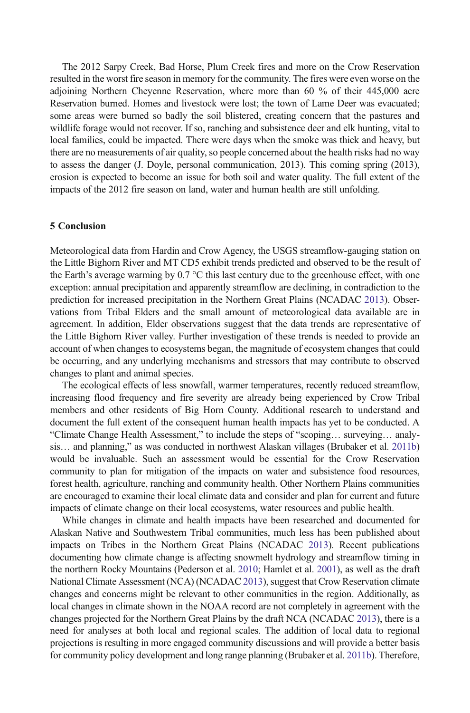The 2012 Sarpy Creek, Bad Horse, Plum Creek fires and more on the Crow Reservation resulted in the worst fire season in memory for the community. The fires were even worse on the adjoining Northern Cheyenne Reservation, where more than 60 % of their 445,000 acre Reservation burned. Homes and livestock were lost; the town of Lame Deer was evacuated; some areas were burned so badly the soil blistered, creating concern that the pastures and wildlife forage would not recover. If so, ranching and subsistence deer and elk hunting, vital to local families, could be impacted. There were days when the smoke was thick and heavy, but there are no measurements of air quality, so people concerned about the health risks had no way to assess the danger (J. Doyle, personal communication, 2013). This coming spring (2013), erosion is expected to become an issue for both soil and water quality. The full extent of the impacts of the 2012 fire season on land, water and human health are still unfolding.

#### 5 Conclusion

Meteorological data from Hardin and Crow Agency, the USGS streamflow-gauging station on the Little Bighorn River and MT CD5 exhibit trends predicted and observed to be the result of the Earth's average warming by  $0.7 \degree C$  this last century due to the greenhouse effect, with one exception: annual precipitation and apparently streamflow are declining, in contradiction to the prediction for increased precipitation in the Northern Great Plains (NCADAC [2013](#page-13-0)). Observations from Tribal Elders and the small amount of meteorological data available are in agreement. In addition, Elder observations suggest that the data trends are representative of the Little Bighorn River valley. Further investigation of these trends is needed to provide an account of when changes to ecosystems began, the magnitude of ecosystem changes that could be occurring, and any underlying mechanisms and stressors that may contribute to observed changes to plant and animal species.

The ecological effects of less snowfall, warmer temperatures, recently reduced streamflow, increasing flood frequency and fire severity are already being experienced by Crow Tribal members and other residents of Big Horn County. Additional research to understand and document the full extent of the consequent human health impacts has yet to be conducted. A "Climate Change Health Assessment," to include the steps of "scoping… surveying… analysis… and planning," as was conducted in northwest Alaskan villages (Brubaker et al. [2011b\)](#page-12-0) would be invaluable. Such an assessment would be essential for the Crow Reservation community to plan for mitigation of the impacts on water and subsistence food resources, forest health, agriculture, ranching and community health. Other Northern Plains communities are encouraged to examine their local climate data and consider and plan for current and future impacts of climate change on their local ecosystems, water resources and public health.

While changes in climate and health impacts have been researched and documented for Alaskan Native and Southwestern Tribal communities, much less has been published about impacts on Tribes in the Northern Great Plains (NCADAC [2013](#page-13-0)). Recent publications documenting how climate change is affecting snowmelt hydrology and streamflow timing in the northern Rocky Mountains (Pederson et al. [2010](#page-13-0); Hamlet et al. [2001\)](#page-12-0), as well as the draft National Climate Assessment (NCA) (NCADAC [2013\)](#page-13-0), suggest that Crow Reservation climate changes and concerns might be relevant to other communities in the region. Additionally, as local changes in climate shown in the NOAA record are not completely in agreement with the changes projected for the Northern Great Plains by the draft NCA (NCADAC [2013](#page-13-0)), there is a need for analyses at both local and regional scales. The addition of local data to regional projections is resulting in more engaged community discussions and will provide a better basis for community policy development and long range planning (Brubaker et al. [2011b](#page-12-0)). Therefore,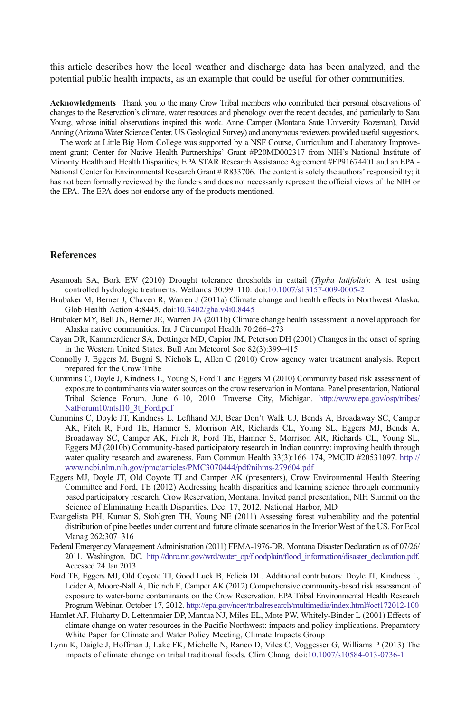<span id="page-12-0"></span>this article describes how the local weather and discharge data has been analyzed, and the potential public health impacts, as an example that could be useful for other communities.

Acknowledgments Thank you to the many Crow Tribal members who contributed their personal observations of changes to the Reservation's climate, water resources and phenology over the recent decades, and particularly to Sara Young, whose initial observations inspired this work. Anne Camper (Montana State University Bozeman), David Anning (Arizona Water Science Center, US Geological Survey) and anonymous reviewers provided useful suggestions.

The work at Little Big Horn College was supported by a NSF Course, Curriculum and Laboratory Improvement grant; Center for Native Health Partnerships' Grant #P20MD002317 from NIH's National Institute of Minority Health and Health Disparities; EPA STAR Research Assistance Agreement #FP91674401 and an EPA - National Center for Environmental Research Grant # R833706. The content is solely the authors' responsibility; it has not been formally reviewed by the funders and does not necessarily represent the official views of the NIH or the EPA. The EPA does not endorse any of the products mentioned.

#### **References**

- Asamoah SA, Bork EW (2010) Drought tolerance thresholds in cattail (Typha latifolia): A test using controlled hydrologic treatments. Wetlands 30:99–110. doi:10.1007/s13157-009-0005-2
- Brubaker M, Berner J, Chaven R, Warren J (2011a) Climate change and health effects in Northwest Alaska. Glob Health Action 4:8445. doi:10.3402/gha.v4i0.8445
- Brubaker MY, Bell JN, Berner JE, Warren JA (2011b) Climate change health assessment: a novel approach for Alaska native communities. Int J Circumpol Health 70:266–273
- Cayan DR, Kammerdiener SA, Dettinger MD, Capior JM, Peterson DH (2001) Changes in the onset of spring in the Western United States. Bull Am Meteorol Soc 82(3):399–415
- Connolly J, Eggers M, Bugni S, Nichols L, Allen C (2010) Crow agency water treatment analysis. Report prepared for the Crow Tribe
- Cummins C, Doyle J, Kindness L, Young S, Ford T and Eggers M (2010) Community based risk assessment of exposure to contaminants via water sources on the crow reservation in Montana. Panel presentation, National Tribal Science Forum. June 6–10, 2010. Traverse City, Michigan. http://www.epa.gov/osp/tribes/ NatForum10/ntsf10\_3t\_Ford.pdf
- Cummins C, Doyle JT, Kindness L, Lefthand MJ, Bear Don't Walk UJ, Bends A, Broadaway SC, Camper AK, Fitch R, Ford TE, Hamner S, Morrison AR, Richards CL, Young SL, Eggers MJ, Bends A, Broadaway SC, Camper AK, Fitch R, Ford TE, Hamner S, Morrison AR, Richards CL, Young SL, Eggers MJ (2010b) Community-based participatory research in Indian country: improving health through water quality research and awareness. Fam Commun Health 33(3):166–174, PMCID #20531097. http:// www.ncbi.nlm.nih.gov/pmc/articles/PMC3070444/pdf/nihms-279604.pdf
- Eggers MJ, Doyle JT, Old Coyote TJ and Camper AK (presenters), Crow Environmental Health Steering Committee and Ford, TE (2012) Addressing health disparities and learning science through community based participatory research, Crow Reservation, Montana. Invited panel presentation, NIH Summit on the Science of Eliminating Health Disparities. Dec. 17, 2012. National Harbor, MD
- Evangelista PH, Kumar S, Stohlgren TH, Young NE (2011) Assessing forest vulnerability and the potential distribution of pine beetles under current and future climate scenarios in the Interior West of the US. For Ecol Manag 262:307–316
- Federal Emergency Management Administration (2011) FEMA-1976-DR, Montana Disaster Declaration as of 07/26/ 2011. Washington, DC. http://dnrc.mt.gov/wrd/water\_op/floodplain/flood\_information/disaster\_declaration.pdf. Accessed 24 Jan 2013
- Ford TE, Eggers MJ, Old Coyote TJ, Good Luck B, Felicia DL. Additional contributors: Doyle JT, Kindness L, Leider A, Moore-Nall A, Dietrich E, Camper AK (2012) Comprehensive community-based risk assessment of exposure to water-borne contaminants on the Crow Reservation. EPA Tribal Environmental Health Research Program Webinar. October 17, 2012. http://epa.gov/ncer/tribalresearch/multimedia/index.html#oct172012-100
- Hamlet AF, Fluharty D, Lettenmaier DP, Mantua NJ, Miles EL, Mote PW, Whitely-Binder L (2001) Effects of climate change on water resources in the Pacific Northwest: impacts and policy implications. Preparatory White Paper for Climate and Water Policy Meeting, Climate Impacts Group
- Lynn K, Daigle J, Hoffman J, Lake FK, Michelle N, Ranco D, Viles C, Voggesser G, Williams P (2013) The impacts of climate change on tribal traditional foods. Clim Chang. doi:10.1007/s10584-013-0736-1